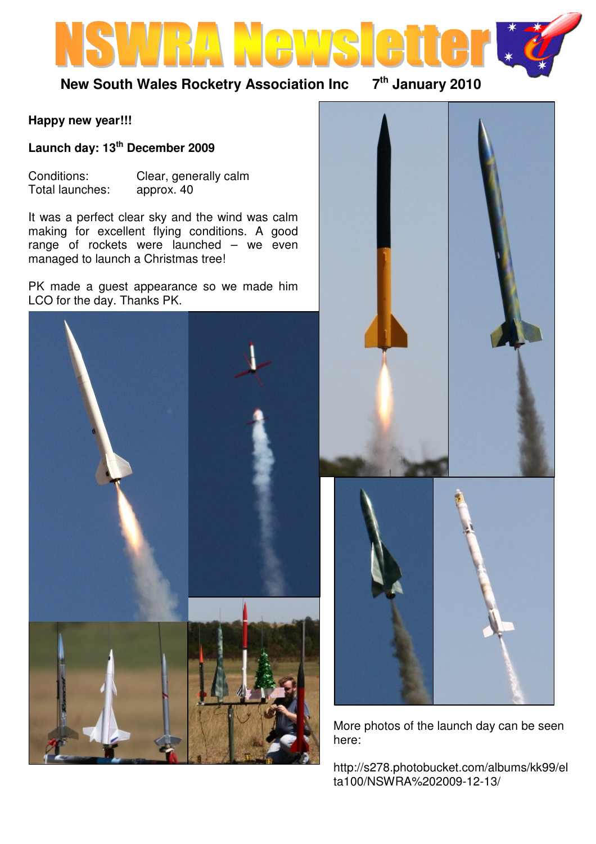

# **New South Wales Rocketry Association Inc 7th January 2010**

#### **Happy new year!!!**

**Launch day: 13th December 2009** 

Conditions: Clear, generally calm<br>Total launches: approx. 40 Total launches:

It was a perfect clear sky and the wind was calm making for excellent flying conditions. A good range of rockets were launched – we even managed to launch a Christmas tree!

PK made a guest appearance so we made him LCO for the day. Thanks PK.





More photos of the launch day can be seen here:

http://s278.photobucket.com/albums/kk99/el ta100/NSWRA%202009-12-13/